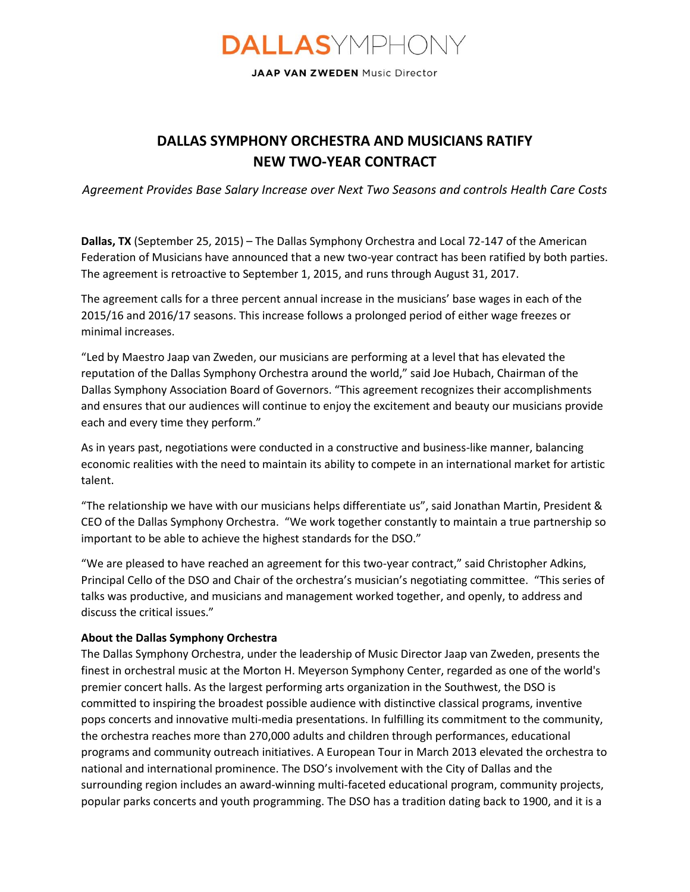## **DALLAS**YMPHONY

JAAP VAN ZWEDEN Music Director

## **DALLAS SYMPHONY ORCHESTRA AND MUSICIANS RATIFY NEW TWO-YEAR CONTRACT**

*Agreement Provides Base Salary Increase over Next Two Seasons and controls Health Care Costs* 

**Dallas, TX** (September 25, 2015) – The Dallas Symphony Orchestra and Local 72-147 of the American Federation of Musicians have announced that a new two-year contract has been ratified by both parties. The agreement is retroactive to September 1, 2015, and runs through August 31, 2017.

The agreement calls for a three percent annual increase in the musicians' base wages in each of the 2015/16 and 2016/17 seasons. This increase follows a prolonged period of either wage freezes or minimal increases.

"Led by Maestro Jaap van Zweden, our musicians are performing at a level that has elevated the reputation of the Dallas Symphony Orchestra around the world," said Joe Hubach, Chairman of the Dallas Symphony Association Board of Governors. "This agreement recognizes their accomplishments and ensures that our audiences will continue to enjoy the excitement and beauty our musicians provide each and every time they perform."

As in years past, negotiations were conducted in a constructive and business-like manner, balancing economic realities with the need to maintain its ability to compete in an international market for artistic talent.

"The relationship we have with our musicians helps differentiate us", said Jonathan Martin, President & CEO of the Dallas Symphony Orchestra. "We work together constantly to maintain a true partnership so important to be able to achieve the highest standards for the DSO."

"We are pleased to have reached an agreement for this two-year contract," said Christopher Adkins, Principal Cello of the DSO and Chair of the orchestra's musician's negotiating committee. "This series of talks was productive, and musicians and management worked together, and openly, to address and discuss the critical issues."

## **About the Dallas Symphony Orchestra**

The Dallas Symphony Orchestra, under the leadership of Music Director Jaap van Zweden, presents the finest in orchestral music at the Morton H. Meyerson Symphony Center, regarded as one of the world's premier concert halls. As the largest performing arts organization in the Southwest, the DSO is committed to inspiring the broadest possible audience with distinctive classical programs, inventive pops concerts and innovative multi-media presentations. In fulfilling its commitment to the community, the orchestra reaches more than 270,000 adults and children through performances, educational programs and community outreach initiatives. A European Tour in March 2013 elevated the orchestra to national and international prominence. The DSO's involvement with the City of Dallas and the surrounding region includes an award-winning multi-faceted educational program, community projects, popular parks concerts and youth programming. The DSO has a tradition dating back to 1900, and it is a